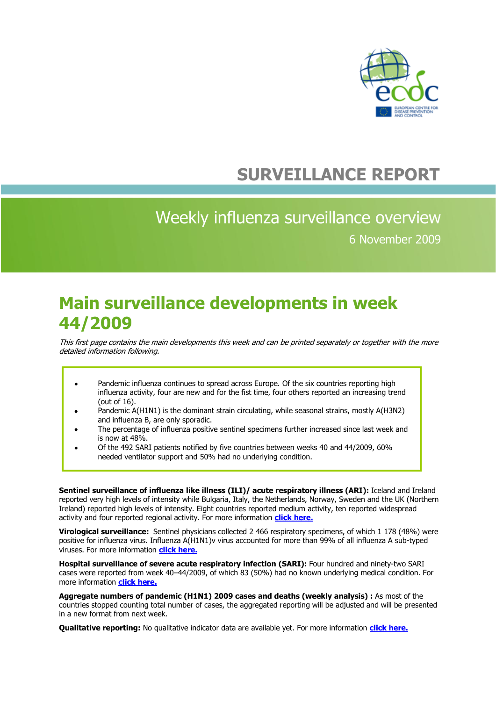

## **SURVEILLANCE REPORT**

## Weekly influenza surveillance overview 6 November 2009

## **Main surveillance developments in week 44/2009**

This first page contains the main developments this week and can be printed separately or together with the more detailed information following.

- Pandemic influenza continues to spread across Europe. Of the six countries reporting high  $\bullet$ influenza activity, four are new and for the fist time, four others reported an increasing trend (out of 16).
- Pandemic A(H1N1) is the dominant strain circulating, while seasonal strains, mostly A(H3N2) and influenza B, are only sporadic.
- The percentage of influenza positive sentinel specimens further increased since last week and is now at 48%.
- Of the 492 SARI patients notified by five countries between weeks 40 and 44/2009, 60% needed ventilator support and 50% had no underlying condition.

**Sentinel surveillance of influenza like illness (ILI)/ acute respiratory illness (ARI):** Iceland and Ireland reported very high levels of intensity while Bulgaria, Italy, the Netherlands, Norway, Sweden and the UK (Northern Ireland) reported high levels of intensity. Eight countries reported medium activity, ten reported widespread activity and four reported regional activity. For more information **[click here.](#page-1-0)**

**Virological surveillance:** Sentinel physicians collected 2 466 respiratory specimens, of which 1 178 (48%) were positive for influenza virus. Influenza A(H1N1)v virus accounted for more than 99% of all influenza A sub-typed viruses. For more information **[click here.](#page-5-0)**

**Hospital surveillance of severe acute respiratory infection (SARI):** Four hundred and ninety-two SARI cases were reported from week 40–44/2009, of which 83 (50%) had no known underlying medical condition. For more information **[click here.](#page-7-0)**

**Aggregate numbers of pandemic (H1N1) 2009 cases and deaths (weekly analysis) :** As most of the countries stopped counting total number of cases, the aggregated reporting will be adjusted and will be presented in a new format from next week.

**Qualitative reporting:** No qualitative indicator data are available yet. For more information **[click here.](#page-12-0)**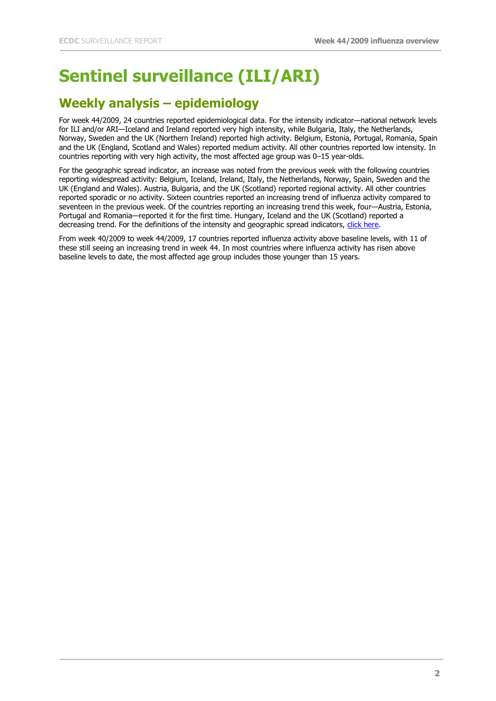# <span id="page-1-0"></span>**Sentinel surveillance (ILI/ARI)**

## **Weekly analysis – epidemiology**

For week 44/2009, 24 countries reported epidemiological data. For the intensity indicator—national network levels for ILI and/or ARI—Iceland and Ireland reported very high intensity, while Bulgaria, Italy, the Netherlands, Norway, Sweden and the UK (Northern Ireland) reported high activity. Belgium, Estonia, Portugal, Romania, Spain and the UK (England, Scotland and Wales) reported medium activity. All other countries reported low intensity. In countries reporting with very high activity, the most affected age group was 0–15 year-olds.

For the geographic spread indicator, an increase was noted from the previous week with the following countries reporting widespread activity: Belgium, Iceland, Ireland, Italy, the Netherlands, Norway, Spain, Sweden and the UK (England and Wales). Austria, Bulgaria, and the UK (Scotland) reported regional activity. All other countries reported sporadic or no activity. Sixteen countries reported an increasing trend of influenza activity compared to seventeen in the previous week. Of the countries reporting an increasing trend this week, four—Austria, Estonia, Portugal and Romania—reported it for the first time. Hungary, Iceland and the UK (Scotland) reported a decreasing trend. For the definitions of the intensity and geographic spread indicators, [click here.](http://ecdc.europa.eu/en/activities/surveillance/EISN/Pages/SentinelSurveillance_Indicators.aspx)

From week 40/2009 to week 44/2009, 17 countries reported influenza activity above baseline levels, with 11 of these still seeing an increasing trend in week 44. In most countries where influenza activity has risen above baseline levels to date, the most affected age group includes those younger than 15 years.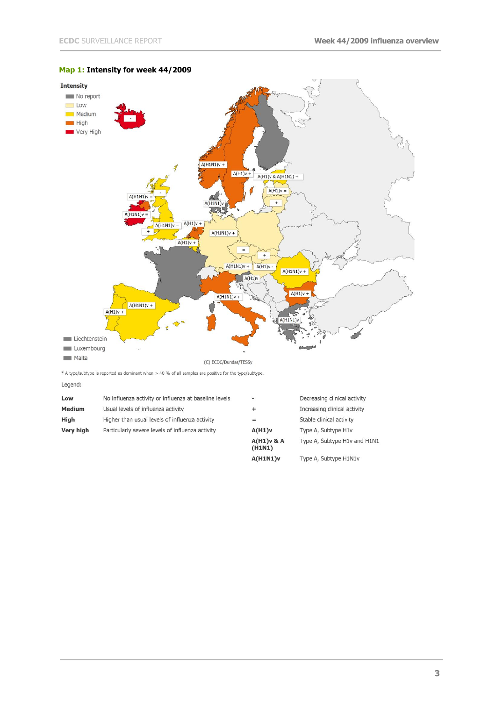

### **Map 1: Intensity for week 44/2009**

\* A type/subtype is reported as dominant when > 40 % of all samples are positive for the type/subtype.

Legend:

| Low           | No influenza activity or influenza at baseline levels | s.                     | Decreasing clinical activity |
|---------------|-------------------------------------------------------|------------------------|------------------------------|
| <b>Medium</b> | Usual levels of influenza activity                    | +                      | Increasing clinical activity |
| High          | Higher than usual levels of influenza activity        | $=$                    | Stable clinical activity     |
| Very high     | Particularly severe levels of influenza activity      | A(H1)v                 | Type A, Subtype H1v          |
|               |                                                       | $A(H1)v$ & A<br>(H1N1) | Type A, Subtype H1v and H1N1 |
|               |                                                       | A(H1N1)v               | Type A, Subtype H1N1v        |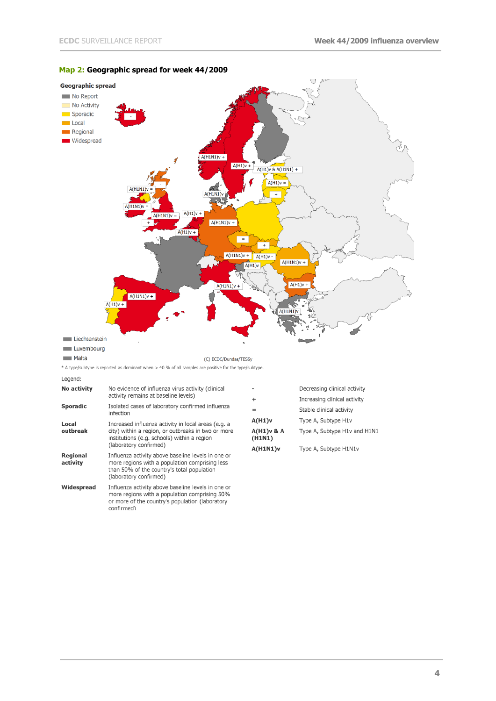

#### **Map 2: Geographic spread for week 44/2009**

**No activity** No evidence of influenza virus activity (clinical activity remains at baseline levels) Isolated cases of laboratory confirmed influenza **Sporadic** infection Increased influenza activity in local areas (e.g. a<br>city) within a region, or outbreaks in two or more<br>institutions (e.g. schools) within a region<br>(laboratory confirmed) Local outbreak Regional Influenza activity above baseline levels in one or activity more regions with a population comprising less than 50% of the country's total population (laboratory confirmed) Widespread Influenza activity above baseline levels in one or more regions with a population comprising 50% or more of the country's population (laboratory confirmed)

Legend:

Decreasing clinical activity Increasing clinical activity  $\overline{1}$ Stable clinical activity  $=$  $A(H1)v$ Type A, Subtype H1v A(H1)v & A<br>(H1N1) Type A, Subtype H1v and H1N1 **A(H1N1)v** Type A, Subtype H1N1v

**4**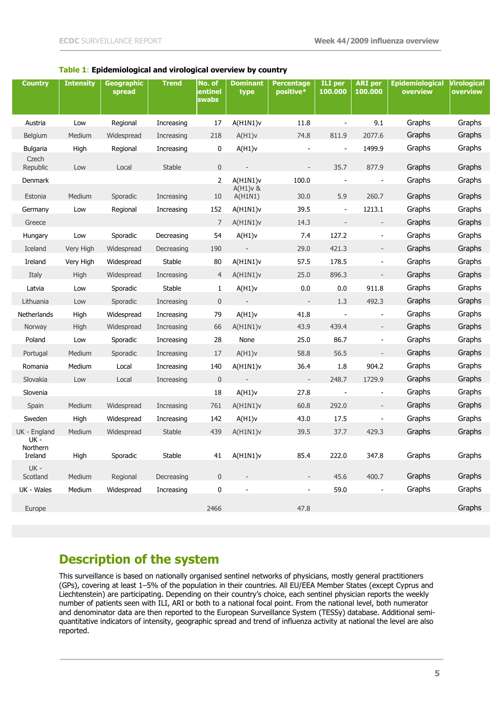### **Table 1**: **Epidemiological and virological overview by country**

| <b>Country</b>                          | <b>Intensity</b> | <b>Geographic</b><br>spread | <b>Trend</b> | No. of<br>sentinel<br>swabs | <b>Dominant</b><br>type | <b>Percentage</b><br>positive* | <b>ILI</b> per<br>100.000 | <b>ARI</b> per<br>100.000 | <b>Epidemiological</b><br>overview | <b>Virological</b><br>overview |
|-----------------------------------------|------------------|-----------------------------|--------------|-----------------------------|-------------------------|--------------------------------|---------------------------|---------------------------|------------------------------------|--------------------------------|
| Austria                                 | Low              | Regional                    | Increasing   | 17                          | A(H1N1)v                | 11.8                           |                           | 9.1                       | Graphs                             | Graphs                         |
| Belgium                                 | Medium           | Widespread                  | Increasing   | 218                         | A(H1)v                  | 74.8                           | 811.9                     | 2077.6                    | Graphs                             | Graphs                         |
| <b>Bulgaria</b>                         | High             | Regional                    | Increasing   | 0                           | A(H1)v                  | $\blacksquare$                 | $\blacksquare$            | 1499.9                    | Graphs                             | Graphs                         |
| Czech<br>Republic                       | Low              | Local                       | Stable       | $\mathbf{0}$                |                         | $\overline{\phantom{a}}$       | 35.7                      | 877.9                     | Graphs                             | Graphs                         |
| Denmark                                 |                  |                             |              | 2                           | A(H1N1)v<br>$A(H1)v$ &  | 100.0                          | $\blacksquare$            | $\blacksquare$            | Graphs                             | Graphs                         |
| Estonia                                 | Medium           | Sporadic                    | Increasing   | 10                          | A(H1N1)                 | 30.0                           | 5.9                       | 260.7                     | Graphs                             | Graphs                         |
| Germany                                 | Low              | Regional                    | Increasing   | 152                         | A(H1N1)v                | 39.5                           | $\blacksquare$            | 1213.1                    | Graphs                             | Graphs                         |
| Greece                                  |                  |                             |              | 7                           | A(H1N1)v                | 14.3                           | $\Box$                    | $\overline{\phantom{a}}$  | Graphs                             | Graphs                         |
| Hungary                                 | Low              | Sporadic                    | Decreasing   | 54                          | A(H1)v                  | 7.4                            | 127.2                     | $\blacksquare$            | Graphs                             | Graphs                         |
| Iceland                                 | Very High        | Widespread                  | Decreasing   | 190                         | $\sim$ $-$              | 29.0                           | 421.3                     | $\overline{\phantom{a}}$  | Graphs                             | Graphs                         |
| Ireland                                 | Very High        | Widespread                  | Stable       | 80                          | A(H1N1)v                | 57.5                           | 178.5                     | $\blacksquare$            | Graphs                             | Graphs                         |
| Italy                                   | High             | Widespread                  | Increasing   | 4                           | A(H1N1)v                | 25.0                           | 896.3                     | $\overline{\phantom{a}}$  | Graphs                             | Graphs                         |
| Latvia                                  | Low              | Sporadic                    | Stable       | $\mathbf{1}$                | A(H1)v                  | 0.0                            | 0.0                       | 911.8                     | Graphs                             | Graphs                         |
| Lithuania                               | Low              | Sporadic                    | Increasing   | $\mathbf 0$                 | $\sim$                  | $\sim$                         | 1.3                       | 492.3                     | Graphs                             | Graphs                         |
| Netherlands                             | High             | Widespread                  | Increasing   | 79                          | A(H1)v                  | 41.8                           | $\overline{\phantom{a}}$  | $\blacksquare$            | Graphs                             | Graphs                         |
| Norway                                  | High             | Widespread                  | Increasing   | 66                          | A(H1N1)v                | 43.9                           | 439.4                     | $\overline{\phantom{a}}$  | Graphs                             | Graphs                         |
| Poland                                  | Low              | Sporadic                    | Increasing   | 28                          | None                    | 25.0                           | 86.7                      | $\blacksquare$            | Graphs                             | Graphs                         |
| Portugal                                | Medium           | Sporadic                    | Increasing   | 17                          | A(H1)v                  | 58.8                           | 56.5                      | $\overline{\phantom{a}}$  | Graphs                             | Graphs                         |
| Romania                                 | Medium           | Local                       | Increasing   | 140                         | A(H1N1)v                | 36.4                           | 1.8                       | 904.2                     | Graphs                             | Graphs                         |
| Slovakia                                | Low              | Local                       | Increasing   | $\mathbf 0$                 |                         | $\sim$                         | 248.7                     | 1729.9                    | Graphs                             | Graphs                         |
| Slovenia                                |                  |                             |              | 18                          | A(H1)v                  | 27.8                           | $\blacksquare$            | $\blacksquare$            | Graphs                             | Graphs                         |
| Spain                                   | Medium           | Widespread                  | Increasing   | 761                         | A(H1N1)v                | 60.8                           | 292.0                     | $\overline{\phantom{a}}$  | Graphs                             | Graphs                         |
| Sweden                                  | High             | Widespread                  | Increasing   | 142                         | A(H1)v                  | 43.0                           | 17.5                      | $\overline{\phantom{a}}$  | Graphs                             | Graphs                         |
| UK - England<br><b>UK -</b><br>Northern | Medium           | Widespread                  | Stable       | 439                         | A(H1N1)v                | 39.5                           | 37.7                      | 429.3                     | Graphs                             | Graphs                         |
| Ireland                                 | High             | Sporadic                    | Stable       | 41                          | A(H1N1)v                | 85.4                           | 222.0                     | 347.8                     | Graphs                             | Graphs                         |
| UK -<br>Scotland                        | Medium           | Regional                    | Decreasing   | $\mathbf 0$                 |                         |                                | 45.6                      | 400.7                     | Graphs                             | Graphs                         |
| UK - Wales                              | Medium           | Widespread                  | Increasing   | $\pmb{0}$                   |                         | $\blacksquare$                 | 59.0                      | $\blacksquare$            | Graphs                             | Graphs                         |
| Europe                                  |                  |                             |              | 2466                        |                         | 47.8                           |                           |                           |                                    | Graphs                         |

### **Description of the system**

This surveillance is based on nationally organised sentinel networks of physicians, mostly general practitioners (GPs), covering at least 1–5% of the population in their countries. All EU/EEA Member States (except Cyprus and Liechtenstein) are participating. Depending on their country's choice, each sentinel physician reports the weekly number of patients seen with ILI, ARI or both to a national focal point. From the national level, both numerator and denominator data are then reported to the European Surveillance System (TESSy) database. Additional semiquantitative indicators of intensity, geographic spread and trend of influenza activity at national the level are also reported.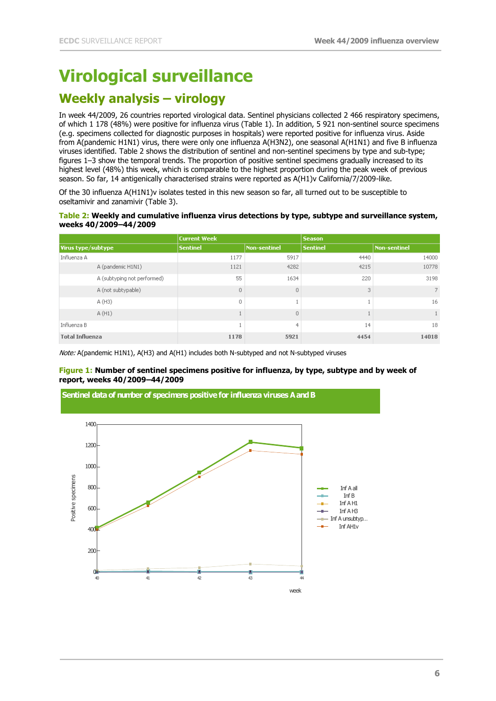## <span id="page-5-0"></span>**Virological surveillance**

## **Weekly analysis – virology**

In week 44/2009, 26 countries reported virological data. Sentinel physicians collected 2 466 respiratory specimens, of which 1 178 (48%) were positive for influenza virus (Table 1). In addition, 5 921 non-sentinel source specimens (e.g. specimens collected for diagnostic purposes in hospitals) were reported positive for influenza virus. Aside from A(pandemic H1N1) virus, there were only one influenza A(H3N2), one seasonal A(H1N1) and five B influenza viruses identified. Table 2 shows the distribution of sentinel and non-sentinel specimens by type and sub-type; figures 1–3 show the temporal trends. The proportion of positive sentinel specimens gradually increased to its highest level (48%) this week, which is comparable to the highest proportion during the peak week of previous season. So far, 14 antigenically characterised strains were reported as A(H1)v California/7/2009-like.

Of the 30 influenza A(H1N1)v isolates tested in this new season so far, all turned out to be susceptible to oseltamivir and zanamivir (Table 3).

#### **Table 2: Weekly and cumulative influenza virus detections by type, subtype and surveillance system, weeks 40/2009–44/2009**

|                             | <b>Current Week</b> |              | <b>Season</b>   |              |  |
|-----------------------------|---------------------|--------------|-----------------|--------------|--|
| Virus type/subtype          | <b>Sentinel</b>     | Non-sentinel | <b>Sentinel</b> | Non-sentinel |  |
| Influenza A                 | 1177                | 5917         | 4440            | 14000        |  |
| A (pandemic H1N1)           | 1121                | 4282         | 4215            | 10778        |  |
| A (subtyping not performed) | 55                  | 1634         | 220             | 3198         |  |
| A (not subtypable)          | $\overline{0}$      | $\cup$       | 3               | 7            |  |
| A (H3)                      | 0                   |              |                 | 16           |  |
| A(H1)                       |                     | $\circ$      |                 |              |  |
| Influenza B                 |                     | 4            | 14              | 18           |  |
| <b>Total Influenza</b>      | 1178                | 5921         | 4454            | 14018        |  |

Note: A(pandemic H1N1), A(H3) and A(H1) includes both N-subtyped and not N-subtyped viruses

#### **Figure 1: Number of sentinel specimens positive for influenza, by type, subtype and by week of report, weeks 40/2009–44/2009**

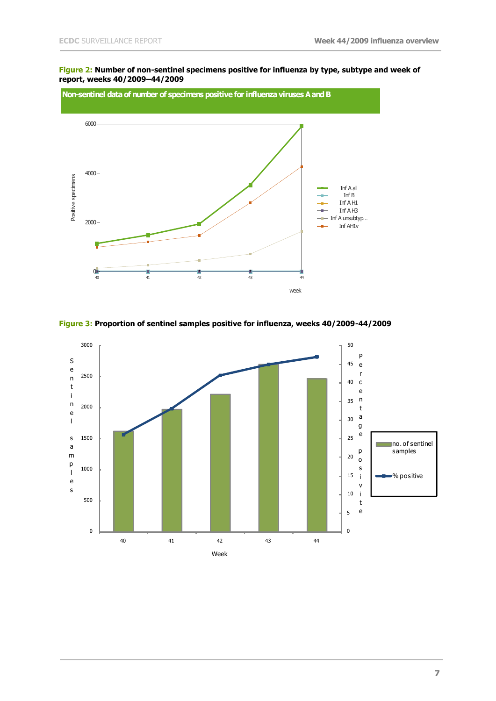#### **Figure 2: Number of non-sentinel specimens positive for influenza by type, subtype and week of report, weeks 40/2009–44/2009**



**Figure 3: Proportion of sentinel samples positive for influenza, weeks 40/2009-44/2009**

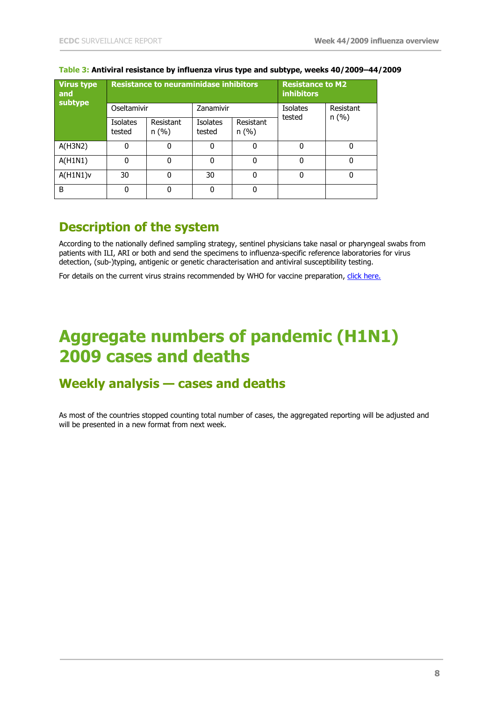| <b>Virus type</b><br>and<br>subtype |                           | <b>Resistance to neuraminidase inhibitors</b> | <b>Resistance to M2</b><br><b>inhibitors</b> |                   |                           |           |
|-------------------------------------|---------------------------|-----------------------------------------------|----------------------------------------------|-------------------|---------------------------|-----------|
|                                     | Oseltamivir               |                                               | Zanamivir                                    |                   | <b>Isolates</b><br>tested | Resistant |
|                                     | <b>Isolates</b><br>tested | Resistant<br>n(%)                             | <b>Isolates</b><br>tested                    | Resistant<br>n(%) |                           | n(%)      |
| A(H3N2)                             | $\Omega$                  | 0                                             | 0                                            | $\Omega$          | 0                         | 0         |
| A(H1N1)                             | 0                         | 0                                             | 0                                            | 0                 | 0                         | 0         |
| A(H1N1)v                            | 30                        | $\mathbf{0}$                                  | 30                                           | 0                 |                           | 0         |
| B                                   | $\Omega$                  | 0                                             | 0                                            | 0                 |                           |           |

### **Table 3: Antiviral resistance by influenza virus type and subtype, weeks 40/2009–44/2009**

### **Description of the system**

According to the nationally defined sampling strategy, sentinel physicians take nasal or pharyngeal swabs from patients with ILI, ARI or both and send the specimens to influenza-specific reference laboratories for virus detection, (sub-)typing, antigenic or genetic characterisation and antiviral susceptibility testing.

<span id="page-7-0"></span>For details on the current virus strains recommended by WHO for vaccine preparation, [click here.](http://www.who.int/csr/resources/publications/swineflu/vaccine_recommendations/en/index.html)

# **Aggregate numbers of pandemic (H1N1) 2009 cases and deaths**

### **Weekly analysis — cases and deaths**

As most of the countries stopped counting total number of cases, the aggregated reporting will be adjusted and will be presented in a new format from next week.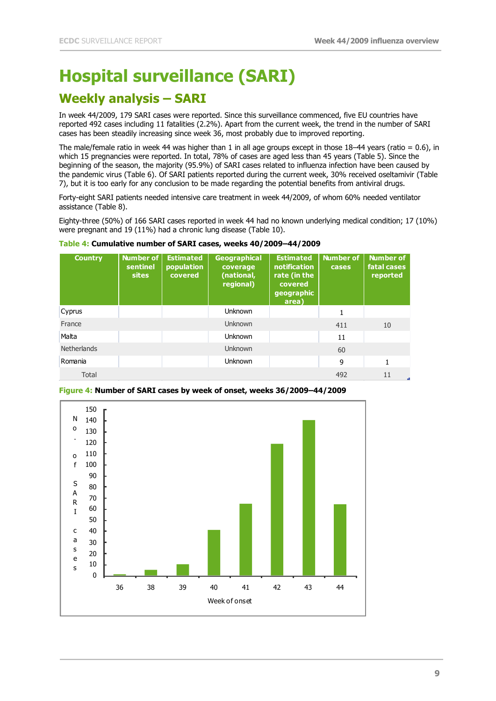# **Hospital surveillance (SARI)**

## **Weekly analysis – SARI**

In week 44/2009, 179 SARI cases were reported. Since this surveillance commenced, five EU countries have reported 492 cases including 11 fatalities (2.2%). Apart from the current week, the trend in the number of SARI cases has been steadily increasing since week 36, most probably due to improved reporting.

The male/female ratio in week 44 was higher than 1 in all age groups except in those  $18-44$  years (ratio = 0.6), in which 15 pregnancies were reported. In total, 78% of cases are aged less than 45 years (Table 5). Since the beginning of the season, the majority (95.9%) of SARI cases related to influenza infection have been caused by the pandemic virus (Table 6). Of SARI patients reported during the current week, 30% received oseltamivir (Table 7), but it is too early for any conclusion to be made regarding the potential benefits from antiviral drugs.

Forty-eight SARI patients needed intensive care treatment in week 44/2009, of whom 60% needed ventilator assistance (Table 8).

Eighty-three (50%) of 166 SARI cases reported in week 44 had no known underlying medical condition; 17 (10%) were pregnant and 19 (11%) had a chronic lung disease (Table 10).

| <b>Country</b> | Number of<br>sentinel<br><b>sites</b> | <b>Estimated</b><br>population<br>covered | <b>Geographical</b><br>coverage<br>(national,<br>regional) | <b>Estimated</b><br><b>notification</b><br>rate (in the<br>covered<br>geographic<br>area) | <b>Number of</b><br>cases | <b>Number of</b><br>fatal cases<br>reported |
|----------------|---------------------------------------|-------------------------------------------|------------------------------------------------------------|-------------------------------------------------------------------------------------------|---------------------------|---------------------------------------------|
| Cyprus         |                                       |                                           | <b>Unknown</b>                                             |                                                                                           | 1                         |                                             |
| France         |                                       |                                           | <b>Unknown</b>                                             |                                                                                           | 411                       | 10                                          |
| Malta          |                                       |                                           | <b>Unknown</b>                                             |                                                                                           | 11                        |                                             |
| Netherlands    |                                       |                                           | Unknown                                                    |                                                                                           | 60                        |                                             |
| Romania        |                                       |                                           | <b>Unknown</b>                                             |                                                                                           | 9                         | 1                                           |
| Total          |                                       |                                           |                                                            |                                                                                           | 492                       | 11                                          |

#### **Table 4: Cumulative number of SARI cases, weeks 40/2009–44/2009**



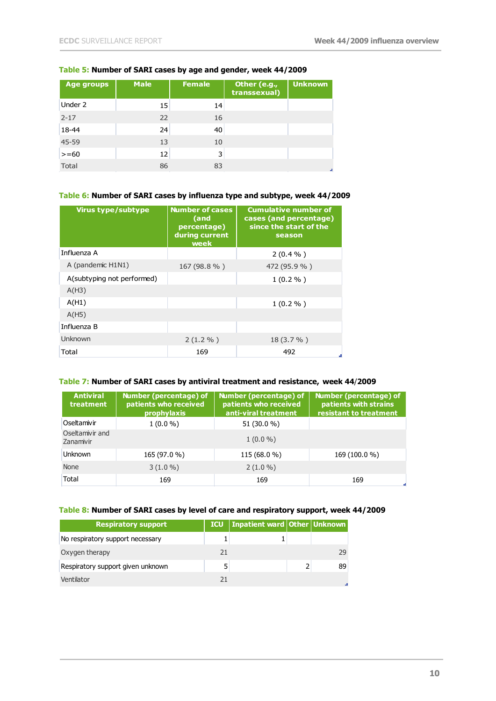### **Table 5: Number of SARI cases by age and gender, week 44/2009**

| <b>Age groups</b> | <b>Male</b> | <b>Female</b> | Other (e.g.,<br>transsexual) | <b>Unknown</b> |
|-------------------|-------------|---------------|------------------------------|----------------|
| Under 2           | 15          | 14            |                              |                |
| $2 - 17$          | 22          | 16            |                              |                |
| 18-44             | 24          | 40            |                              |                |
| 45-59             | 13          | 10            |                              |                |
| $>= 60$           | 12          | 3             |                              |                |
| Total             | 86          | 83            |                              | e.             |

### **Table 6: Number of SARI cases by influenza type and subtype, week 44/2009**

| <b>Virus type/subtype</b>  | <b>Number of cases</b><br>$\sqrt{a}$ and<br>percentage)<br>during current<br>week | <b>Cumulative number of</b><br>cases (and percentage)<br>since the start of the<br>season |
|----------------------------|-----------------------------------------------------------------------------------|-------------------------------------------------------------------------------------------|
| Influenza A                |                                                                                   | $2(0.4\% )$                                                                               |
| A (pandemic H1N1)          | 167 (98.8 %)                                                                      | 472 (95.9 %)                                                                              |
| A(subtyping not performed) |                                                                                   | $1(0.2\% )$                                                                               |
| A(H3)                      |                                                                                   |                                                                                           |
| A(H1)                      |                                                                                   | $1(0.2\% )$                                                                               |
| A(H5)                      |                                                                                   |                                                                                           |
| Influenza B                |                                                                                   |                                                                                           |
| Unknown                    | $2(1.2\% )$                                                                       | $18(3.7\% )$                                                                              |
| Total                      | 169                                                                               | 492                                                                                       |

### **Table 7: Number of SARI cases by antiviral treatment and resistance, week 44**/**2009**

| <b>Antiviral</b><br>treatment | Number (percentage) of<br>patients who received<br>prophylaxis | Number (percentage) of<br>patients who received<br>anti-viral treatment | Number (percentage) of<br>patients with strains<br>resistant to treatment |
|-------------------------------|----------------------------------------------------------------|-------------------------------------------------------------------------|---------------------------------------------------------------------------|
| Oseltamivir                   | $1(0.0\%)$                                                     | 51 (30.0 %)                                                             |                                                                           |
| Oseltamivir and<br>Zanamivir  |                                                                | $1(0.0\%)$                                                              |                                                                           |
| <b>Unknown</b>                | 165 (97.0 %)                                                   | 115 (68.0 %)                                                            | 169 (100.0 %)                                                             |
| <b>None</b>                   | $3(1.0\%)$                                                     | $2(1.0\%)$                                                              |                                                                           |
| Total                         | 169                                                            | 169                                                                     | 169                                                                       |

### **Table 8: Number of SARI cases by level of care and respiratory support, week 44/2009**

| <b>Respiratory support</b>        | <b>ICU</b> | Inpatient ward Other Unknown |    |
|-----------------------------------|------------|------------------------------|----|
| No respiratory support necessary  |            |                              |    |
| Oxygen therapy                    | 21         |                              | 29 |
| Respiratory support given unknown |            |                              | 89 |
| Ventilator                        | 21         |                              |    |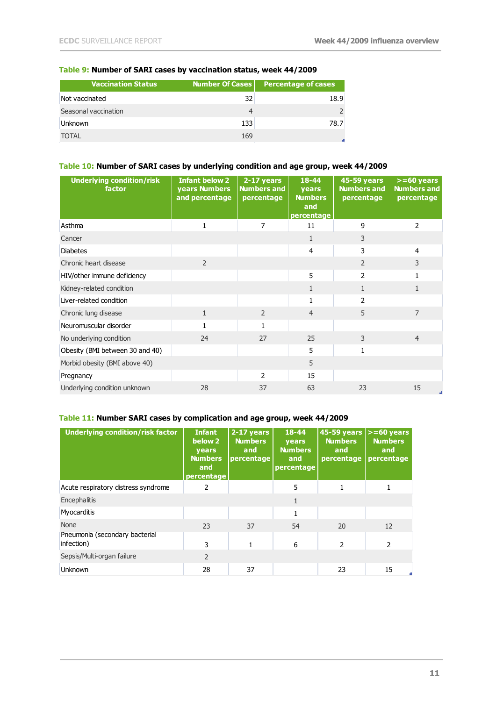| Vaccination Status   | Number Of Cases | <b>Percentage of cases</b> |
|----------------------|-----------------|----------------------------|
| Not vaccinated       | 32              | 18.9                       |
| Seasonal vaccination |                 |                            |
| <b>Unknown</b>       | 133             | 78.7                       |
| TOTAL                | 169             |                            |

### **Table 9: Number of SARI cases by vaccination status, week 44/2009**

### **Table 10: Number of SARI cases by underlying condition and age group, week 44/2009**

| <b>Underlying condition/risk</b><br>factor | <b>Infant below 2</b><br>years Numbers<br>and percentage | 2-17 years<br><b>Numbers and</b><br>percentage | 18-44<br>years<br><b>Numbers</b><br>and<br>percentage | <b>45-59 years</b><br><b>Numbers and</b><br>percentage | $>= 60$ years<br><b>Numbers and</b><br>percentage |
|--------------------------------------------|----------------------------------------------------------|------------------------------------------------|-------------------------------------------------------|--------------------------------------------------------|---------------------------------------------------|
| Asthma                                     | 1                                                        | 7                                              | 11                                                    | 9                                                      | $\overline{2}$                                    |
| Cancer                                     |                                                          |                                                | $\mathbf{1}$                                          | 3                                                      |                                                   |
| <b>Diabetes</b>                            |                                                          |                                                | 4                                                     | 3                                                      | 4                                                 |
| Chronic heart disease                      | $\overline{2}$                                           |                                                |                                                       | $\overline{2}$                                         | 3                                                 |
| HIV/other immune deficiency                |                                                          |                                                | 5                                                     | 2                                                      | 1                                                 |
| Kidney-related condition                   |                                                          |                                                | $\mathbf{1}$                                          | $\mathbf{1}$                                           | $\mathbf{1}$                                      |
| Liver-related condition                    |                                                          |                                                | 1                                                     | $\overline{2}$                                         |                                                   |
| Chronic lung disease                       | $\mathbf{1}$                                             | $\overline{2}$                                 | $\overline{4}$                                        | 5                                                      | $\overline{7}$                                    |
| Neuromuscular disorder                     |                                                          |                                                |                                                       |                                                        |                                                   |
| No underlying condition                    | 24                                                       | 27                                             | 25                                                    | 3                                                      | $\overline{4}$                                    |
| Obesity (BMI between 30 and 40)            |                                                          |                                                | 5                                                     | $\mathbf{1}$                                           |                                                   |
| Morbid obesity (BMI above 40)              |                                                          |                                                | 5                                                     |                                                        |                                                   |
| Pregnancy                                  |                                                          | $\overline{2}$                                 | 15                                                    |                                                        |                                                   |
| Underlying condition unknown               | 28                                                       | 37                                             | 63                                                    | 23                                                     | 15<br>J.                                          |

### **Table 11: Number SARI cases by complication and age group, week 44/2009**

| <b>Underlying condition/risk factor</b>      | <b>Infant</b><br>below 2<br>years<br><b>Numbers</b><br>and<br>percentage | 2-17 years<br><b>Numbers</b><br>and<br>percentage | 18-44<br><b>vears</b><br><b>Numbers</b><br>and<br>percentage | 45-59 years  >=60 years<br><b>Numbers</b><br>and<br>percentage | <b>Numbers</b><br>and<br>percentage |
|----------------------------------------------|--------------------------------------------------------------------------|---------------------------------------------------|--------------------------------------------------------------|----------------------------------------------------------------|-------------------------------------|
| Acute respiratory distress syndrome          | 2                                                                        |                                                   | 5                                                            |                                                                |                                     |
| Encephalitis                                 |                                                                          |                                                   | 1                                                            |                                                                |                                     |
| Myocarditis                                  |                                                                          |                                                   |                                                              |                                                                |                                     |
| <b>None</b>                                  | 23                                                                       | 37                                                | 54                                                           | 20                                                             | 12                                  |
| Pneumonia (secondary bacterial<br>infection) | 3                                                                        |                                                   | 6                                                            | 2                                                              | $\mathcal{P}$                       |
| Sepsis/Multi-organ failure                   | $\overline{\phantom{a}}$                                                 |                                                   |                                                              |                                                                |                                     |
| <b>Unknown</b>                               | 28                                                                       | 37                                                |                                                              | 23                                                             | 15                                  |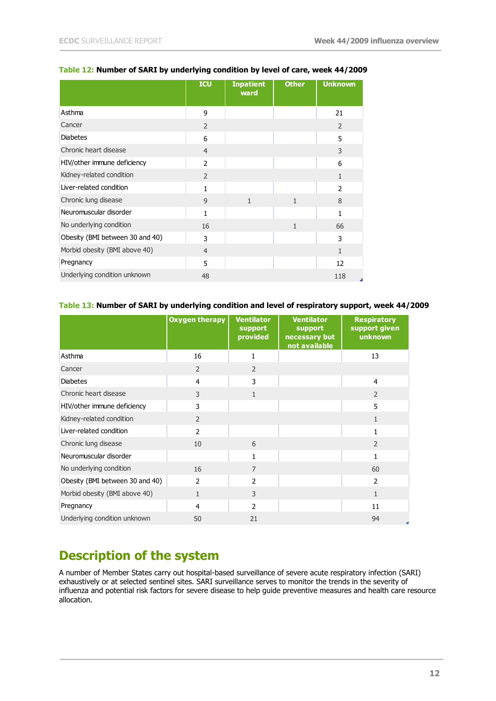|                                 | <b>ICU</b>     | <b>Inpatient</b><br>ward | <b>Other</b> | <b>Unknown</b> |
|---------------------------------|----------------|--------------------------|--------------|----------------|
| Asthma                          | 9              |                          |              | 21             |
| Cancer                          | $\overline{2}$ |                          |              | 2              |
| <b>Diabetes</b>                 | 6              |                          |              | 5              |
| Chronic heart disease           | $\overline{4}$ |                          |              | 3              |
| HIV/other immune deficiency     | $\overline{2}$ |                          |              | 6              |
| Kidney-related condition        | $\overline{2}$ |                          |              | $\mathbf{1}$   |
| Liver-related condition         | 1              |                          |              | $\overline{2}$ |
| Chronic lung disease            | 9              | $\mathbf{1}$             | $\mathbf{1}$ | 8              |
| Neuromuscular disorder          | $\mathbf{1}$   |                          |              | $\mathbf{1}$   |
| No underlying condition         | 16             |                          | $\mathbf{1}$ | 66             |
| Obesity (BMI between 30 and 40) | 3              |                          |              | 3              |
| Morbid obesity (BMI above 40)   | $\overline{4}$ |                          |              | $\mathbf{1}$   |
| Pregnancy                       | 5              |                          |              | 12             |
| Underlying condition unknown    | 48             |                          |              | 118            |

#### **Table 12: Number of SARI by underlying condition by level of care, week 44/2009**

### **Table 13: Number of SARI by underlying condition and level of respiratory support, week 44/2009**

|                                 | <b>Oxygen therapy</b> | <b>Ventilator</b><br>support<br>provided | <b>Ventilator</b><br>support<br>necessary but<br>not available | <b>Respiratory</b><br>support given<br>unknown |
|---------------------------------|-----------------------|------------------------------------------|----------------------------------------------------------------|------------------------------------------------|
| Asthma                          | 16                    | 1                                        |                                                                | 13                                             |
| Cancer                          | $\overline{2}$        | $\overline{2}$                           |                                                                |                                                |
| <b>Diabetes</b>                 | 4                     | 3                                        |                                                                | 4                                              |
| Chronic heart disease           | 3                     | $\mathbf{1}$                             |                                                                | $\overline{2}$                                 |
| HIV/other immune deficiency     | 3                     |                                          |                                                                | 5                                              |
| Kidney-related condition        | $\overline{2}$        |                                          |                                                                | $\mathbf{1}$                                   |
| Liver-related condition         | $\mathcal{P}$         |                                          |                                                                | 1                                              |
| Chronic lung disease            | 10                    | 6                                        |                                                                | $\overline{2}$                                 |
| Neuromuscular disorder          |                       | $\mathbf{1}$                             |                                                                | $\mathbf{1}$                                   |
| No underlying condition         | 16                    | $\overline{7}$                           |                                                                | 60                                             |
| Obesity (BMI between 30 and 40) | $\overline{2}$        | $\overline{2}$                           |                                                                | $\overline{2}$                                 |
| Morbid obesity (BMI above 40)   | $\mathbf{1}$          | 3                                        |                                                                | $\mathbf{1}$                                   |
| Pregnancy                       | 4                     | $\overline{2}$                           |                                                                | 11                                             |
| Underlying condition unknown    | 50                    | 21                                       |                                                                | 94                                             |

## **Description of the system**

A number of Member States carry out hospital-based surveillance of severe acute respiratory infection (SARI) exhaustively or at selected sentinel sites. SARI surveillance serves to monitor the trends in the severity of influenza and potential risk factors for severe disease to help guide preventive measures and health care resource allocation.